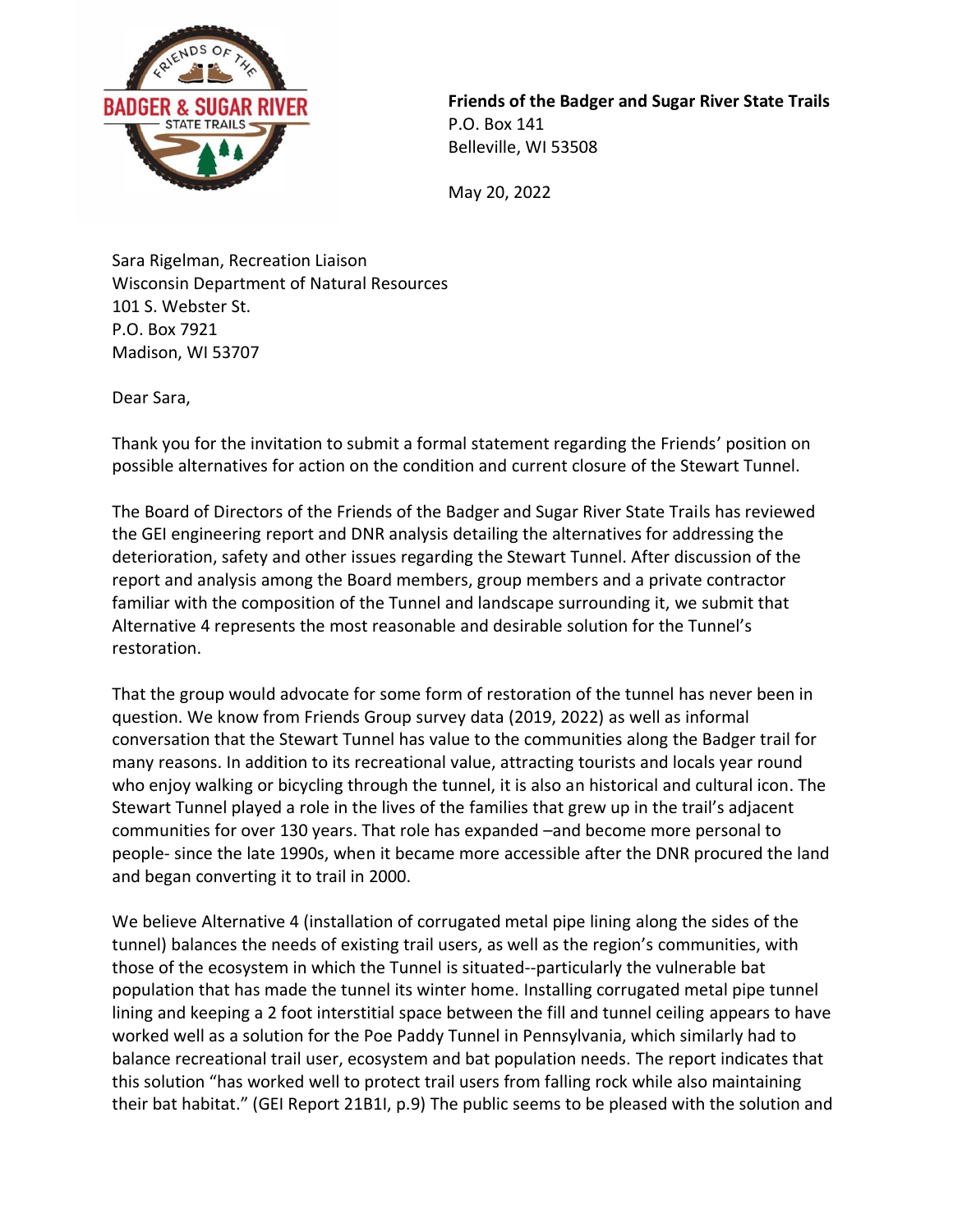

**Friends of the Badger and Sugar River State Trails**  P.O. Box 141 Belleville, WI 53508

May 20, 2022

Sara Rigelman, Recreation Liaison Wisconsin Department of Natural Resources 101 S. Webster St. P.O. Box 7921 Madison, WI 53707

Dear Sara,

Thank you for the invitation to submit a formal statement regarding the Friends' position on possible alternatives for action on the condition and current closure of the Stewart Tunnel.

The Board of Directors of the Friends of the Badger and Sugar River State Trails has reviewed the GEI engineering report and DNR analysis detailing the alternatives for addressing the deterioration, safety and other issues regarding the Stewart Tunnel. After discussion of the report and analysis among the Board members, group members and a private contractor familiar with the composition of the Tunnel and landscape surrounding it, we submit that Alternative 4 represents the most reasonable and desirable solution for the Tunnel's restoration.

That the group would advocate for some form of restoration of the tunnel has never been in question. We know from Friends Group survey data (2019, 2022) as well as informal conversation that the Stewart Tunnel has value to the communities along the Badger trail for many reasons. In addition to its recreational value, attracting tourists and locals year round who enjoy walking or bicycling through the tunnel, it is also an historical and cultural icon. The Stewart Tunnel played a role in the lives of the families that grew up in the trail's adjacent communities for over 130 years. That role has expanded –and become more personal to people- since the late 1990s, when it became more accessible after the DNR procured the land and began converting it to trail in 2000.

We believe Alternative 4 (installation of corrugated metal pipe lining along the sides of the tunnel) balances the needs of existing trail users, as well as the region's communities, with those of the ecosystem in which the Tunnel is situated--particularly the vulnerable bat population that has made the tunnel its winter home. Installing corrugated metal pipe tunnel lining and keeping a 2 foot interstitial space between the fill and tunnel ceiling appears to have worked well as a solution for the Poe Paddy Tunnel in Pennsylvania, which similarly had to balance recreational trail user, ecosystem and bat population needs. The report indicates that this solution "has worked well to protect trail users from falling rock while also maintaining their bat habitat." (GEI Report 21B1I, p.9) The public seems to be pleased with the solution and